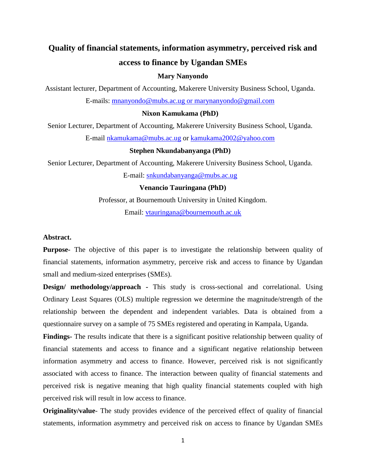# **Quality of financial statements, information asymmetry, perceived risk and access to finance by Ugandan SMEs**

# **Mary Nanyondo**

Assistant lecturer, Department of Accounting, Makerere University Business School, Uganda. E-mails: [mnanyondo@mubs.ac.ug or marynanyondo@gmail.com](../../../Downloads/mnanyondo@mubs.ac.ug%20or%20marynanyondo@gmail.com)

# **Nixon Kamukama (PhD)**

Senior Lecturer, Department of Accounting, Makerere University Business School, Uganda. E-mail [nkamukama@mubs.ac.ug](mailto:nkamukama@mubs.ac.ug) or [kamukama2002@yahoo.com](mailto:kamukama2002@yahoo.com)

# **Stephen Nkundabanyanga (PhD)**

Senior Lecturer, Department of Accounting, Makerere University Business School, Uganda.

E-mail: [snkundabanyanga@mubs.ac.ug](mailto:snkundabanyanga@mubs.ac.ug)

**Venancio Tauringana (PhD)**

Professor, at Bournemouth University in United Kingdom.

Email: [vtauringana@bournemouth.ac.uk](../../../Downloads/vtauringana@bournemouth.ac.uk)

# **Abstract.**

**Purpose-** The objective of this paper is to investigate the relationship between quality of financial statements, information asymmetry, perceive risk and access to finance by Ugandan small and medium-sized enterprises (SMEs).

**Design/ methodology/approach -** This study is cross-sectional and correlational. Using Ordinary Least Squares (OLS) multiple regression we determine the magnitude/strength of the relationship between the dependent and independent variables. Data is obtained from a questionnaire survey on a sample of 75 SMEs registered and operating in Kampala, Uganda.

**Findings-** The results indicate that there is a significant positive relationship between quality of financial statements and access to finance and a significant negative relationship between information asymmetry and access to finance. However, perceived risk is not significantly associated with access to finance. The interaction between quality of financial statements and perceived risk is negative meaning that high quality financial statements coupled with high perceived risk will result in low access to finance.

**Originality/value**- The study provides evidence of the perceived effect of quality of financial statements, information asymmetry and perceived risk on access to finance by Ugandan SMEs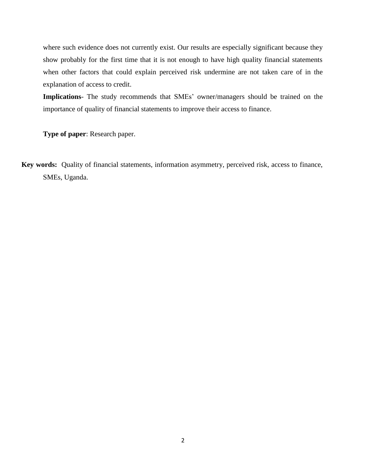where such evidence does not currently exist. Our results are especially significant because they show probably for the first time that it is not enough to have high quality financial statements when other factors that could explain perceived risk undermine are not taken care of in the explanation of access to credit.

**Implications**- The study recommends that SMEs' owner/managers should be trained on the importance of quality of financial statements to improve their access to finance.

**Type of paper**: Research paper.

**Key words:** Quality of financial statements, information asymmetry, perceived risk, access to finance, SMEs, Uganda.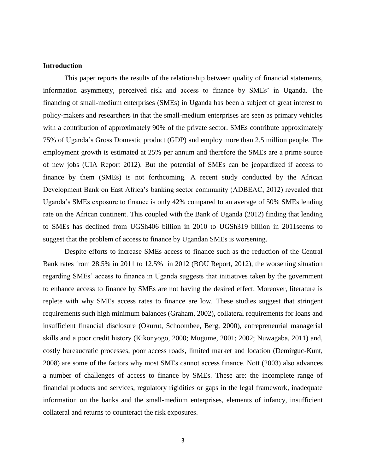# **Introduction**

This paper reports the results of the relationship between quality of financial statements, information asymmetry, perceived risk and access to finance by SMEs' in Uganda. The financing of small-medium enterprises (SMEs) in Uganda has been a subject of great interest to policy-makers and researchers in that the small-medium enterprises are seen as primary vehicles with a contribution of approximately 90% of the private sector. SMEs contribute approximately 75% of Uganda's Gross Domestic product (GDP) and employ more than 2.5 million people. The employment growth is estimated at 25% per annum and therefore the SMEs are a prime source of new jobs (UIA Report 2012). But the potential of SMEs can be jeopardized if access to finance by them (SMEs) is not forthcoming. A recent study conducted by the African Development Bank on East Africa's banking sector community (ADBEAC, 2012) revealed that Uganda's SMEs exposure to finance is only 42% compared to an average of 50% SMEs lending rate on the African continent. This coupled with the Bank of Uganda (2012) finding that lending to SMEs has declined from UGSh406 billion in 2010 to UGSh319 billion in 2011seems to suggest that the problem of access to finance by Ugandan SMEs is worsening.

Despite efforts to increase SMEs access to finance such as the reduction of the Central Bank rates from 28.5% in 2011 to 12.5% in 2012 (BOU Report, 2012), the worsening situation regarding SMEs' access to finance in Uganda suggests that initiatives taken by the government to enhance access to finance by SMEs are not having the desired effect. Moreover, literature is replete with why SMEs access rates to finance are low. These studies suggest that stringent requirements such high minimum balances (Graham, 2002), collateral requirements for loans and insufficient financial disclosure (Okurut, Schoombee, Berg, 2000), entrepreneurial managerial skills and a poor credit history (Kikonyogo, 2000; Mugume, 2001; 2002; Nuwagaba, 2011) and, costly bureaucratic processes, poor access roads, limited market and location (Demirguc-Kunt, 2008) are some of the factors why most SMEs cannot access finance. Nott (2003) also advances a number of challenges of access to finance by SMEs. These are: the incomplete range of financial products and services, regulatory rigidities or gaps in the legal framework, inadequate information on the banks and the small-medium enterprises, elements of infancy, insufficient collateral and returns to counteract the risk exposures.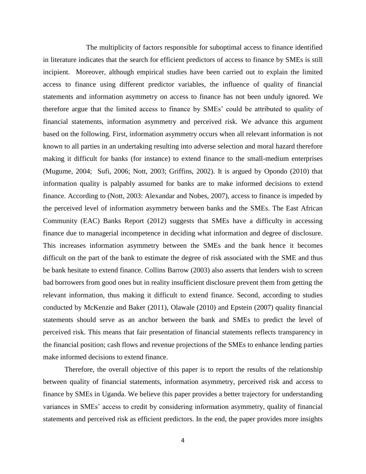The multiplicity of factors responsible for suboptimal access to finance identified in literature indicates that the search for efficient predictors of access to finance by SMEs is still incipient. Moreover, although empirical studies have been carried out to explain the limited access to finance using different predictor variables, the influence of quality of financial statements and information asymmetry on access to finance has not been unduly ignored. We therefore argue that the limited access to finance by SMEs' could be attributed to quality of financial statements, information asymmetry and perceived risk. We advance this argument based on the following. First, information asymmetry occurs when all relevant information is not known to all parties in an undertaking resulting into adverse selection and moral hazard therefore making it difficult for banks (for instance) to extend finance to the small-medium enterprises (Mugume, 2004; Sufi, 2006; Nott, 2003; Griffins, 2002). It is argued by Opondo (2010) that information quality is palpably assumed for banks are to make informed decisions to extend finance. According to (Nott, 2003: Alexandar and Nobes, 2007), access to finance is impeded by the perceived level of information asymmetry between banks and the SMEs. The East African Community (EAC) Banks Report (2012) suggests that SMEs have a difficulty in accessing finance due to managerial incompetence in deciding what information and degree of disclosure. This increases information asymmetry between the SMEs and the bank hence it becomes difficult on the part of the bank to estimate the degree of risk associated with the SME and thus be bank hesitate to extend finance. Collins Barrow (2003) also asserts that lenders wish to screen bad borrowers from good ones but in reality insufficient disclosure prevent them from getting the relevant information, thus making it difficult to extend finance. Second, according to studies conducted by McKenzie and Baker (2011), Olawale (2010) and Epstein (2007) quality financial statements should serve as an anchor between the bank and SMEs to predict the level of perceived risk. This means that fair presentation of financial statements reflects transparency in the financial position; cash flows and revenue projections of the SMEs to enhance lending parties make informed decisions to extend finance.

Therefore, the overall objective of this paper is to report the results of the relationship between quality of financial statements, information asymmetry, perceived risk and access to finance by SMEs in Uganda. We believe this paper provides a better trajectory for understanding variances in SMEs' access to credit by considering information asymmetry, quality of financial statements and perceived risk as efficient predictors. In the end, the paper provides more insights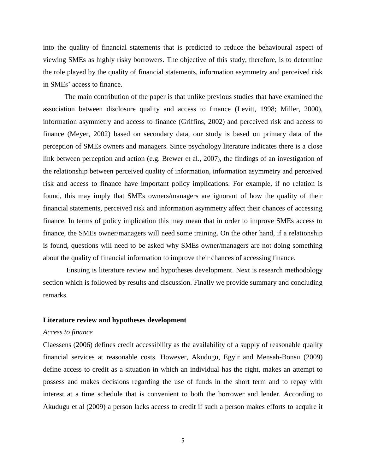into the quality of financial statements that is predicted to reduce the behavioural aspect of viewing SMEs as highly risky borrowers. The objective of this study, therefore, is to determine the role played by the quality of financial statements, information asymmetry and perceived risk in SMEs' access to finance.

The main contribution of the paper is that unlike previous studies that have examined the association between disclosure quality and access to finance (Levitt, 1998; Miller, 2000), information asymmetry and access to finance (Griffins, 2002) and perceived risk and access to finance (Meyer, 2002) based on secondary data, our study is based on primary data of the perception of SMEs owners and managers. Since psychology literature indicates there is a close link between perception and action (e.g. Brewer et al., 2007), the findings of an investigation of the relationship between perceived quality of information, information asymmetry and perceived risk and access to finance have important policy implications. For example, if no relation is found, this may imply that SMEs owners/managers are ignorant of how the quality of their financial statements, perceived risk and information asymmetry affect their chances of accessing finance. In terms of policy implication this may mean that in order to improve SMEs access to finance, the SMEs owner/managers will need some training. On the other hand, if a relationship is found, questions will need to be asked why SMEs owner/managers are not doing something about the quality of financial information to improve their chances of accessing finance.

Ensuing is literature review and hypotheses development. Next is research methodology section which is followed by results and discussion. Finally we provide summary and concluding remarks.

# **Literature review and hypotheses development**

# *Access to finance*

Claessens (2006) defines credit accessibility as the availability of a supply of reasonable quality financial services at reasonable costs. However, Akudugu, Egyir and Mensah-Bonsu (2009) define access to credit as a situation in which an individual has the right, makes an attempt to possess and makes decisions regarding the use of funds in the short term and to repay with interest at a time schedule that is convenient to both the borrower and lender. According to Akudugu et al (2009) a person lacks access to credit if such a person makes efforts to acquire it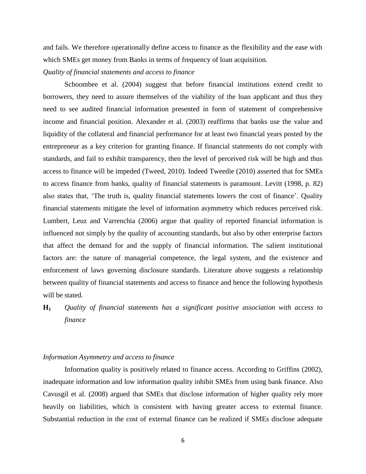and fails. We therefore operationally define access to finance as the flexibility and the ease with which SMEs get money from Banks in terms of frequency of loan acquisition.

# *Quality of financial statements and access to finance*

Schoombee et al. (2004) suggest that before financial institutions extend credit to borrowers, they need to assure themselves of the viability of the loan applicant and thus they need to see audited financial information presented in form of statement of comprehensive income and financial position. Alexander et al. (2003) reaffirms that banks use the value and liquidity of the collateral and financial performance for at least two financial years posted by the entrepreneur as a key criterion for granting finance. If financial statements do not comply with standards, and fail to exhibit transparency, then the level of perceived risk will be high and thus access to finance will be impeded (Tweed, 2010). Indeed Tweedie (2010) asserted that for SMEs to access finance from banks, quality of financial statements is paramount. Levitt (1998, p. 82) also states that, 'The truth is, quality financial statements lowers the cost of finance'. Quality financial statements mitigate the level of information asymmetry which reduces perceived risk. Lumbert, Leuz and Varrenchia (2006) argue that quality of reported financial information is influenced not simply by the quality of accounting standards, but also by other enterprise factors that affect the demand for and the supply of financial information. The salient institutional factors are: the nature of managerial competence, the legal system, and the existence and enforcement of laws governing disclosure standards. Literature above suggests a relationship between quality of financial statements and access to finance and hence the following hypothesis will be stated.

**H<sup>1</sup>** *Quality of financial statements has a significant positive association with access to finance*

# *Information Asymmetry and access to finance*

Information quality is positively related to finance access. According to Griffins (2002), inadequate information and low information quality inhibit SMEs from using bank finance. Also Cavusgil et al. (2008) argued that SMEs that disclose information of higher quality rely more heavily on liabilities, which is consistent with having greater access to external finance. Substantial reduction in the cost of external finance can be realized if SMEs disclose adequate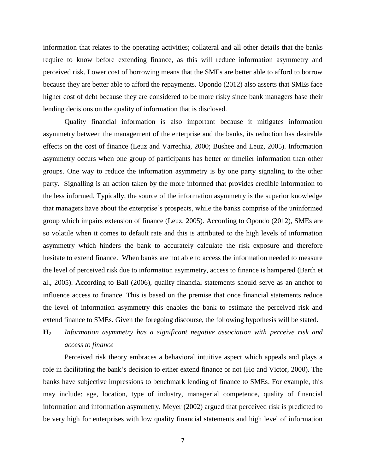information that relates to the operating activities; collateral and all other details that the banks require to know before extending finance, as this will reduce information asymmetry and perceived risk. Lower cost of borrowing means that the SMEs are better able to afford to borrow because they are better able to afford the repayments. Opondo (2012) also asserts that SMEs face higher cost of debt because they are considered to be more risky since bank managers base their lending decisions on the quality of information that is disclosed.

Quality financial information is also important because it mitigates information asymmetry between the management of the enterprise and the banks, its reduction has desirable effects on the cost of finance (Leuz and Varrechia, 2000; Bushee and Leuz, 2005). Information asymmetry occurs when one group of participants has better or timelier information than other groups. One way to reduce the information asymmetry is by one party signaling to the other party. Signalling is an action taken by the more informed that provides credible information to the less informed. Typically, the source of the information asymmetry is the superior knowledge that managers have about the enterprise's prospects, while the banks comprise of the uninformed group which impairs extension of finance (Leuz, 2005). According to Opondo (2012), SMEs are so volatile when it comes to default rate and this is attributed to the high levels of information asymmetry which hinders the bank to accurately calculate the risk exposure and therefore hesitate to extend finance. When banks are not able to access the information needed to measure the level of perceived risk due to information asymmetry, access to finance is hampered (Barth et al., 2005). According to Ball (2006), quality financial statements should serve as an anchor to influence access to finance. This is based on the premise that once financial statements reduce the level of information asymmetry this enables the bank to estimate the perceived risk and extend finance to SMEs. Given the foregoing discourse, the following hypothesis will be stated.

# **H<sup>2</sup>** *Information asymmetry has a significant negative association with perceive risk and access to finance*

Perceived risk theory embraces a behavioral intuitive aspect which appeals and plays a role in facilitating the bank's decision to either extend finance or not (Ho and Victor, 2000). The banks have subjective impressions to benchmark lending of finance to SMEs. For example, this may include: age, location, type of industry, managerial competence, quality of financial information and information asymmetry. Meyer (2002) argued that perceived risk is predicted to be very high for enterprises with low quality financial statements and high level of information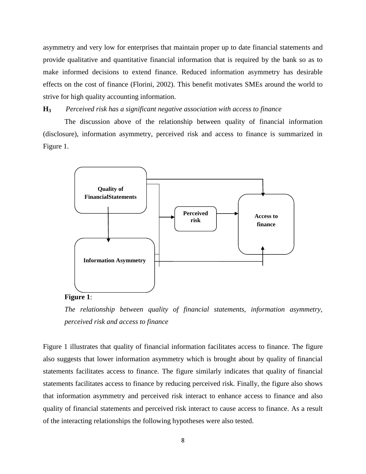asymmetry and very low for enterprises that maintain proper up to date financial statements and provide qualitative and quantitative financial information that is required by the bank so as to make informed decisions to extend finance. Reduced information asymmetry has desirable effects on the cost of finance (Florini, 2002). This benefit motivates SMEs around the world to strive for high quality accounting information.

# **H<sup>3</sup>** *Perceived risk has a significant negative association with access to finance*

The discussion above of the relationship between quality of financial information (disclosure), information asymmetry, perceived risk and access to finance is summarized in Figure 1.



# **Figure 1**:

*The relationship between quality of financial statements, information asymmetry, perceived risk and access to finance*

Figure 1 illustrates that quality of financial information facilitates access to finance. The figure also suggests that lower information asymmetry which is brought about by quality of financial statements facilitates access to finance. The figure similarly indicates that quality of financial statements facilitates access to finance by reducing perceived risk. Finally, the figure also shows that information asymmetry and perceived risk interact to enhance access to finance and also quality of financial statements and perceived risk interact to cause access to finance. As a result of the interacting relationships the following hypotheses were also tested.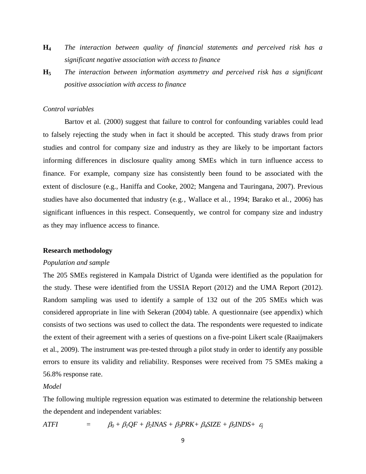- **H<sup>4</sup>** *The interaction between quality of financial statements and perceived risk has a significant negative association with access to finance*
- **H<sup>5</sup>** *The interaction between information asymmetry and perceived risk has a significant positive association with access to finance*

#### *Control variables*

Bartov et al. (2000) suggest that failure to control for confounding variables could lead to falsely rejecting the study when in fact it should be accepted. This study draws from prior studies and control for company size and industry as they are likely to be important factors informing differences in disclosure quality among SMEs which in turn influence access to finance. For example, company size has consistently been found to be associated with the extent of disclosure (e.g., Haniffa and Cooke, 2002; Mangena and Tauringana, 2007). Previous studies have also documented that industry (e.g., Wallace et al., 1994; Barako et al., 2006) has significant influences in this respect. Consequently, we control for company size and industry as they may influence access to finance.

# **Research methodology**

#### *Population and sample*

The 205 SMEs registered in Kampala District of Uganda were identified as the population for the study. These were identified from the USSIA Report (2012) and the UMA Report (2012). Random sampling was used to identify a sample of 132 out of the 205 SMEs which was considered appropriate in line with Sekeran (2004) table. A questionnaire (see appendix) which consists of two sections was used to collect the data. The respondents were requested to indicate the extent of their agreement with a series of questions on a five-point Likert scale (Raaijmakers et al., 2009). The instrument was pre-tested through a pilot study in order to identify any possible errors to ensure its validity and reliability. Responses were received from 75 SMEs making a 56.8% response rate.

#### *Model*

The following multiple regression equation was estimated to determine the relationship between the dependent and independent variables:

$$
ATFI = \beta_0 + \beta_1 QF + \beta_2 INAS + \beta_3 PRK + \beta_4 SIZE + \beta_5 INDS + \varepsilon_j
$$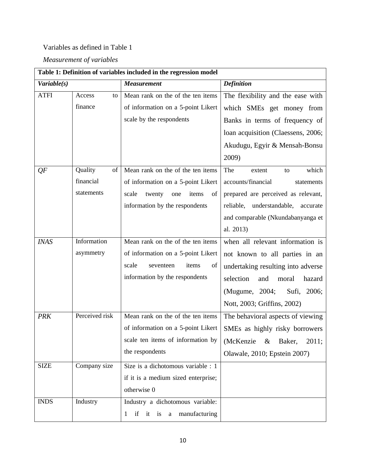# Variables as defined in Table 1

*Measurement of variables*

| Table 1: Definition of variables included in the regression model |                |                                       |                                          |  |  |  |  |
|-------------------------------------------------------------------|----------------|---------------------------------------|------------------------------------------|--|--|--|--|
| Variable(s)                                                       |                | <b>Measurement</b>                    | <b>Definition</b>                        |  |  |  |  |
| <b>ATFI</b>                                                       | Access<br>to   | Mean rank on the of the ten items     | The flexibility and the ease with        |  |  |  |  |
|                                                                   | finance        | of information on a 5-point Likert    | which SMEs get money from                |  |  |  |  |
|                                                                   |                | scale by the respondents              | Banks in terms of frequency of           |  |  |  |  |
|                                                                   |                |                                       | loan acquisition (Claessens, 2006;       |  |  |  |  |
|                                                                   |                |                                       | Akudugu, Egyir & Mensah-Bonsu            |  |  |  |  |
|                                                                   |                |                                       | 2009)                                    |  |  |  |  |
| QF                                                                | Quality<br>of  | Mean rank on the of the ten items     | The<br>which<br>extent<br>to             |  |  |  |  |
|                                                                   | financial      | of information on a 5-point Likert    | accounts/financial<br>statements         |  |  |  |  |
|                                                                   | statements     | scale<br>twenty<br>items<br>of<br>one | prepared are perceived as relevant,      |  |  |  |  |
|                                                                   |                | information by the respondents        | understandable,<br>reliable,<br>accurate |  |  |  |  |
|                                                                   |                |                                       | and comparable (Nkundabanyanga et        |  |  |  |  |
|                                                                   |                |                                       | al. 2013)                                |  |  |  |  |
| <b>INAS</b>                                                       | Information    | Mean rank on the of the ten items     | when all relevant information is         |  |  |  |  |
|                                                                   | asymmetry      | of information on a 5-point Likert    | not known to all parties in an           |  |  |  |  |
|                                                                   |                | scale<br>seventeen<br>items<br>of     | undertaking resulting into adverse       |  |  |  |  |
|                                                                   |                | information by the respondents        | selection<br>hazard<br>and<br>moral      |  |  |  |  |
|                                                                   |                |                                       | (Mugume, 2004;<br>Sufi, 2006;            |  |  |  |  |
|                                                                   |                |                                       | Nott, 2003; Griffins, 2002)              |  |  |  |  |
| <b>PRK</b>                                                        | Perceived risk | Mean rank on the of the ten items     | The behavioral aspects of viewing        |  |  |  |  |
|                                                                   |                | of information on a 5-point Likert    | SMEs as highly risky borrowers           |  |  |  |  |
|                                                                   |                | scale ten items of information by     | (McKenzie<br>Baker,<br>2011;<br>$\&$     |  |  |  |  |
|                                                                   |                | the respondents                       | Olawale, 2010; Epstein 2007)             |  |  |  |  |
| <b>SIZE</b>                                                       | Company size   | Size is a dichotomous variable : 1    |                                          |  |  |  |  |
|                                                                   |                | if it is a medium sized enterprise;   |                                          |  |  |  |  |
|                                                                   |                | otherwise 0                           |                                          |  |  |  |  |
| <b>INDS</b>                                                       | Industry       | Industry a dichotomous variable:      |                                          |  |  |  |  |
|                                                                   |                | if it is a<br>manufacturing<br>1      |                                          |  |  |  |  |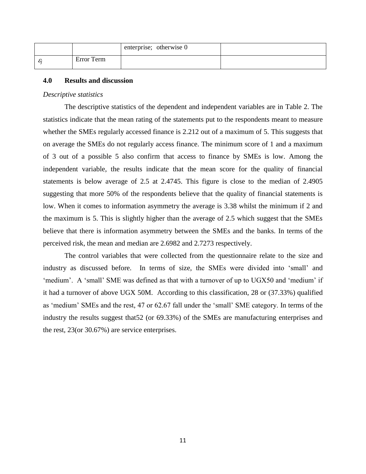|            | enterprise; otherwise 0 |  |
|------------|-------------------------|--|
| Error Term |                         |  |

# **4.0 Results and discussion**

#### *Descriptive statistics*

The descriptive statistics of the dependent and independent variables are in Table 2. The statistics indicate that the mean rating of the statements put to the respondents meant to measure whether the SMEs regularly accessed finance is 2.212 out of a maximum of 5. This suggests that on average the SMEs do not regularly access finance. The minimum score of 1 and a maximum of 3 out of a possible 5 also confirm that access to finance by SMEs is low. Among the independent variable, the results indicate that the mean score for the quality of financial statements is below average of 2.5 at 2.4745. This figure is close to the median of 2.4905 suggesting that more 50% of the respondents believe that the quality of financial statements is low. When it comes to information asymmetry the average is 3.38 whilst the minimum if 2 and the maximum is 5. This is slightly higher than the average of 2.5 which suggest that the SMEs believe that there is information asymmetry between the SMEs and the banks. In terms of the perceived risk, the mean and median are 2.6982 and 2.7273 respectively.

The control variables that were collected from the questionnaire relate to the size and industry as discussed before. In terms of size, the SMEs were divided into 'small' and 'medium'. A 'small' SME was defined as that with a turnover of up to UGX50 and 'medium' if it had a turnover of above UGX 50M. According to this classification, 28 or (37.33%) qualified as 'medium' SMEs and the rest, 47 or 62.67 fall under the 'small' SME category. In terms of the industry the results suggest that52 (or 69.33%) of the SMEs are manufacturing enterprises and the rest, 23(or 30.67%) are service enterprises.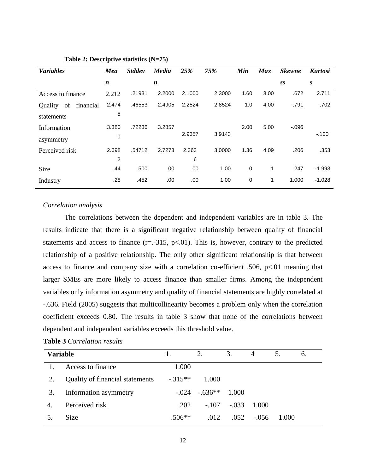| <b>Variables</b>           | Mea              | <b>Stddev</b> | <b>Media</b> | 25%    | 75%    | Min  | <b>Max</b> | <b>Skewne</b> | <b>Kurtosi</b> |
|----------------------------|------------------|---------------|--------------|--------|--------|------|------------|---------------|----------------|
|                            | $\boldsymbol{n}$ |               | n            |        |        |      |            | SS            | S              |
| Access to finance          | 2.212            | .21931        | 2.2000       | 2.1000 | 2.3000 | 1.60 | 3.00       | .672          | 2.711          |
| of<br>financial<br>Quality | 2.474            | .46553        | 2.4905       | 2.2524 | 2.8524 | 1.0  | 4.00       | $-.791$       | .702           |
| statements                 | 5                |               |              |        |        |      |            |               |                |
| Information                | 3.380            | .72236        | 3.2857       |        |        | 2.00 | 5.00       | $-0.096$      |                |
| asymmetry                  | 0                |               |              | 2.9357 | 3.9143 |      |            |               | $-.100$        |
| Perceived risk             | 2.698            | .54712        | 2.7273       | 2.363  | 3.0000 | 1.36 | 4.09       | .206          | .353           |
|                            | 2                |               |              | 6      |        |      |            |               |                |
| Size                       | .44              | .500          | .00.         | .00.   | 1.00   | 0    | 1          | .247          | $-1.993$       |
| Industry                   | .28              | .452          | .00          | .00    | 1.00   | 0    | 1          | 1.000         | $-1.028$       |

#### **Table 2: Descriptive statistics (N=75)**

# *Correlation analysis*

The correlations between the dependent and independent variables are in table 3. The results indicate that there is a significant negative relationship between quality of financial statements and access to finance  $(r=.315, p<.01)$ . This is, however, contrary to the predicted relationship of a positive relationship. The only other significant relationship is that between access to finance and company size with a correlation co-efficient .506,  $p<01$  meaning that larger SMEs are more likely to access finance than smaller firms. Among the independent variables only information asymmetry and quality of financial statements are highly correlated at -.636. Field (2005) suggests that multicollinearity becomes a problem only when the correlation coefficient exceeds 0.80. The results in table 3 show that none of the correlations between dependent and independent variables exceeds this threshold value.

| <b>Variable</b> |                                 |           | 2.       | 3.      | 4       | 5.    | 6. |
|-----------------|---------------------------------|-----------|----------|---------|---------|-------|----|
|                 | Access to finance               | 1.000     |          |         |         |       |    |
| 2.              | Quality of financial statements | $-.315**$ | 1.000    |         |         |       |    |
| 3.              | Information asymmetry           | $-.024$   | $-636**$ | 1.000   |         |       |    |
| 4.              | Perceived risk                  | .202      | $-.107$  | $-.033$ | - 1.000 |       |    |
|                 | Size                            | $.506**$  | .012     | .052    | $-.056$ | 1.000 |    |

|  | Table 3 Correlation results |  |
|--|-----------------------------|--|
|--|-----------------------------|--|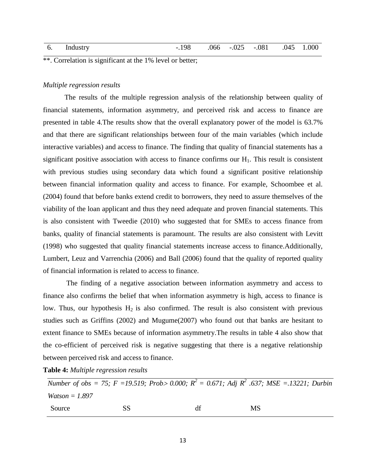| 6. Industry | -.198 |  | $.066$ $-.025$ $-.081$ $.045$ $1.000$ |  |
|-------------|-------|--|---------------------------------------|--|
|             |       |  |                                       |  |

\*\*. Correlation is significant at the 1% level or better;

# *Multiple regression results*

The results of the multiple regression analysis of the relationship between quality of financial statements, information asymmetry, and perceived risk and access to finance are presented in table 4.The results show that the overall explanatory power of the model is 63.7% and that there are significant relationships between four of the main variables (which include interactive variables) and access to finance. The finding that quality of financial statements has a significant positive association with access to finance confirms our  $H_1$ . This result is consistent with previous studies using secondary data which found a significant positive relationship between financial information quality and access to finance. For example, Schoombee et al. (2004) found that before banks extend credit to borrowers, they need to assure themselves of the viability of the loan applicant and thus they need adequate and proven financial statements. This is also consistent with Tweedie (2010) who suggested that for SMEs to access finance from banks, quality of financial statements is paramount. The results are also consistent with Levitt (1998) who suggested that quality financial statements increase access to finance.Additionally, Lumbert, Leuz and Varrenchia (2006) and Ball (2006) found that the quality of reported quality of financial information is related to access to finance.

The finding of a negative association between information asymmetry and access to finance also confirms the belief that when information asymmetry is high, access to finance is low. Thus, our hypothesis  $H_2$  is also confirmed. The result is also consistent with previous studies such as Griffins (2002) and Mugume(2007) who found out that banks are hesitant to extent finance to SMEs because of information asymmetry.The results in table 4 also show that the co-efficient of perceived risk is negative suggesting that there is a negative relationship between perceived risk and access to finance.

**Table 4:** *Multiple regression results*

*Number of obs = 75; F = 19.519; Prob> 0.000; R<sup>2</sup> = 0.671; Adj R<sup>2</sup> .637; MSE = .13221; Durbin Watson = 1.897* Source SS df MS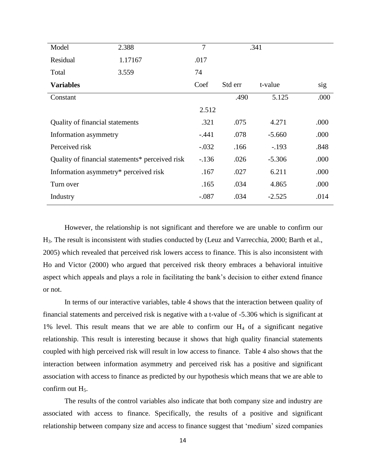| Model                                 | 2.388                                           | $\overline{7}$ |         | .341     |      |
|---------------------------------------|-------------------------------------------------|----------------|---------|----------|------|
| Residual                              | 1.17167                                         | .017           |         |          |      |
| Total                                 | 3.559                                           | 74             |         |          |      |
| <b>Variables</b>                      |                                                 | Coef           | Std err | t-value  | sig  |
| Constant                              |                                                 |                | .490    | 5.125    | .000 |
|                                       |                                                 | 2.512          |         |          |      |
| Quality of financial statements       |                                                 | .321           | .075    | 4.271    | .000 |
| Information asymmetry                 |                                                 | $-.441$        | .078    | $-5.660$ | .000 |
| Perceived risk                        |                                                 | $-.032$        | .166    | $-.193$  | .848 |
|                                       | Quality of financial statements* perceived risk | $-136$         | .026    | $-5.306$ | .000 |
| Information asymmetry* perceived risk |                                                 | .167           | .027    | 6.211    | .000 |
| Turn over                             |                                                 | .165           | .034    | 4.865    | .000 |
| Industry                              |                                                 | $-.087$        | .034    | $-2.525$ | .014 |

However, the relationship is not significant and therefore we are unable to confirm our H3. The result is inconsistent with studies conducted by (Leuz and Varrecchia, 2000; Barth et al., 2005) which revealed that perceived risk lowers access to finance. This is also inconsistent with Ho and Victor (2000) who argued that perceived risk theory embraces a behavioral intuitive aspect which appeals and plays a role in facilitating the bank's decision to either extend finance or not.

In terms of our interactive variables, table 4 shows that the interaction between quality of financial statements and perceived risk is negative with a t-value of -5.306 which is significant at 1% level. This result means that we are able to confirm our  $H_4$  of a significant negative relationship. This result is interesting because it shows that high quality financial statements coupled with high perceived risk will result in low access to finance. Table 4 also shows that the interaction between information asymmetry and perceived risk has a positive and significant association with access to finance as predicted by our hypothesis which means that we are able to confirm out  $H_5$ .

The results of the control variables also indicate that both company size and industry are associated with access to finance. Specifically, the results of a positive and significant relationship between company size and access to finance suggest that 'medium' sized companies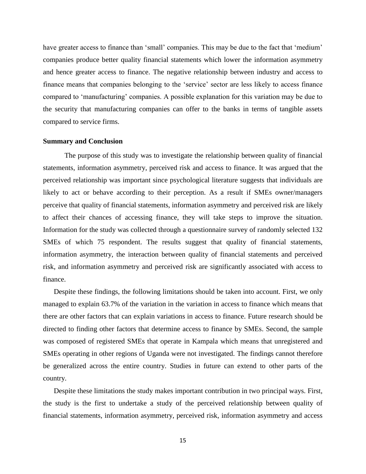have greater access to finance than 'small' companies. This may be due to the fact that 'medium' companies produce better quality financial statements which lower the information asymmetry and hence greater access to finance. The negative relationship between industry and access to finance means that companies belonging to the 'service' sector are less likely to access finance compared to 'manufacturing' companies. A possible explanation for this variation may be due to the security that manufacturing companies can offer to the banks in terms of tangible assets compared to service firms.

# **Summary and Conclusion**

The purpose of this study was to investigate the relationship between quality of financial statements, information asymmetry, perceived risk and access to finance. It was argued that the perceived relationship was important since psychological literature suggests that individuals are likely to act or behave according to their perception. As a result if SMEs owner/managers perceive that quality of financial statements, information asymmetry and perceived risk are likely to affect their chances of accessing finance, they will take steps to improve the situation. Information for the study was collected through a questionnaire survey of randomly selected 132 SMEs of which 75 respondent. The results suggest that quality of financial statements, information asymmetry, the interaction between quality of financial statements and perceived risk, and information asymmetry and perceived risk are significantly associated with access to finance.

Despite these findings, the following limitations should be taken into account. First, we only managed to explain 63.7% of the variation in the variation in access to finance which means that there are other factors that can explain variations in access to finance. Future research should be directed to finding other factors that determine access to finance by SMEs. Second, the sample was composed of registered SMEs that operate in Kampala which means that unregistered and SMEs operating in other regions of Uganda were not investigated. The findings cannot therefore be generalized across the entire country. Studies in future can extend to other parts of the country.

Despite these limitations the study makes important contribution in two principal ways. First, the study is the first to undertake a study of the perceived relationship between quality of financial statements, information asymmetry, perceived risk, information asymmetry and access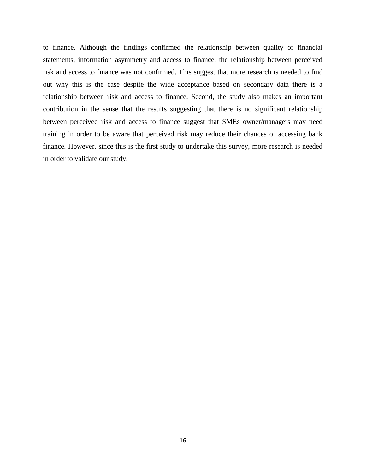to finance. Although the findings confirmed the relationship between quality of financial statements, information asymmetry and access to finance, the relationship between perceived risk and access to finance was not confirmed. This suggest that more research is needed to find out why this is the case despite the wide acceptance based on secondary data there is a relationship between risk and access to finance. Second, the study also makes an important contribution in the sense that the results suggesting that there is no significant relationship between perceived risk and access to finance suggest that SMEs owner/managers may need training in order to be aware that perceived risk may reduce their chances of accessing bank finance. However, since this is the first study to undertake this survey, more research is needed in order to validate our study.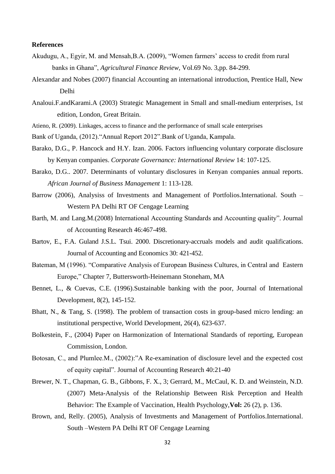# **References**

- Akudugu, A., Egyir, M. and Mensah,B.A. (2009), "Women farmers' access to credit from rural banks in Ghana", *Agricultural Finance Review,* Vol.69 No. 3,pp. 84-299.
- Alexandar and Nobes (2007) financial Accounting an international introduction, Prentice Hall, New Delhi
- Analoui.F.andKarami.A (2003) Strategic Management in Small and small-medium enterprises, 1st edition, London, Great Britain.
- Atieno, R. (2009). Linkages, access to finance and the performance of small scale enterprises
- Bank of Uganda, (2012)."Annual Report 2012".Bank of Uganda, Kampala.
- Barako, D.G., P. Hancock and H.Y. Izan. 2006. Factors influencing voluntary corporate disclosure by Kenyan companies. *Corporate Governance: International Review* 14: 107-125.
- Barako, D.G.. 2007. Determinants of voluntary disclosures in Kenyan companies annual reports. *African Journal of Business Management* 1: 113-128.
- Barrow (2006), Analysiss of Investments and Management of Portfolios.International. South Western PA Delhi RT OF Cengage Learning
- Barth, M. and Lang.M.(2008) International Accounting Standards and Accounting quality". Journal of Accounting Research 46:467-498.
- Bartov, E., F.A. Guland J.S.L. Tsui. 2000. Discretionary-accruals models and audit qualifications. Journal of Accounting and Economics 30: 421-452.
- Bateman, M (1996). "Comparative Analysis of European Business Cultures, in Central and Eastern Europe," Chapter 7, Buttersworth-Heinemann Stoneham, MA
- Bennet, L., & Cuevas, C.E. (1996).Sustainable banking with the poor, Journal of International Development, 8(2), 145-152.
- Bhatt, N., & Tang, S. (1998). The problem of transaction costs in group-based micro lending: an institutional perspective, World Development, 26(4), 623-637.
- Bolkestein, F., (2004) Paper on Harmonization of International Standards of reporting, European Commission, London.
- Botosan, C., and Plumlee.M., (2002):"A Re-examination of disclosure level and the expected cost of equity capital". Journal of Accounting Research 40:21-40
- Brewer, N. T., Chapman, G. B., Gibbons, F. X., 3; Gerrard, M., McCaul, K. D. and Weinstein, N.D. (2007) Meta-Analysis of the Relationship Between Risk Perception and Health Behavior: The Example of Vaccination, Health Psychology,**Vol:** 26 (2), p. 136.
- Brown, and, Relly. (2005), Analysis of Investments and Management of Portfolios.International. South –Western PA Delhi RT OF Cengage Learning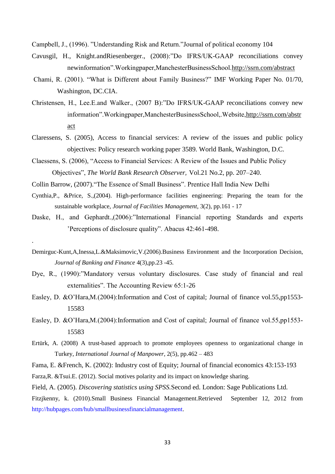Campbell, J., (1996). "Understanding Risk and Return."Journal of political economy 104

- Cavusgil, H., Knight.andRiesenberger., (2008):"Do IFRS/UK-GAAP reconciliations convey newinformation".Workingpaper,ManchesterBusinessSchool.http://ssrn.com/abstract
- Chami, R. (2001). "What is Different about Family Business?" IMF Working Paper No. 01/70, Washington, DC.CIA.
- Christensen, H., Lee.E.and Walker., (2007 B):"Do IFRS/UK-GAAP reconciliations convey new information".Workingpaper,ManchesterBusinessSchool,.Website,http://ssrn.com/abstr act
- Claressens, S. (2005), Access to financial services: A review of the issues and public policy objectives: Policy research working paper 3589. World Bank, Washington, D.C.
- Claessens, S. (2006), "Access to Financial Services: A Review of the Issues and Public Policy Objectives", *The World Bank Research Observer,* Vol.21 No.2, pp. 207–240.
- Collin Barrow, (2007)."The Essence of Small Business". Prentice Hall India New Delhi

.

- Cynthia,P., &Price, S.,(2004). High-performance facilities engineering: Preparing the team for the sustainable workplace, *Journal of Facilities Management*, 3(2), pp.161 - 17
- Daske, H., and Gephardt.,(2006):"International Financial reporting Standards and experts 'Perceptions of disclosure quality". Abacus 42:461-498.
- Demirguc-Kunt,A,Inessa,L.&Maksimovic,V.(2006).Business Environment and the Incorporation Decision, *Journal of Banking and Finance* 4(3),pp.23 -45*.*
- Dye, R., (1990):"Mandatory versus voluntary disclosures. Case study of financial and real externalities". The Accounting Review 65:1-26
- Easley, D. &O'Hara, M. (2004): Information and Cost of capital; Journal of finance vol. 55, pp1553-15583
- Easley, D. &O'Hara, M. (2004): Information and Cost of capital; Journal of finance vol. 55, pp1553-15583
- Ertürk, A. (2008) A trust-based approach to promote employees openness to organizational change in Turkey, *International Journal of Manpower*, 2(5), pp.462 – 483

Fama, E. &French, K. (2002): Industry cost of Equity; Journal of financial economics 43:153-193

Farza,R. &Tsui.E. (2012). Social motives polarity and its impact on knowledge sharing.

Field, A. (2005). *Discovering statistics using SPSS.*Second ed. London: Sage Publications Ltd.

Fitzjkenny, k. (2010).Small Business Financial Management.Retrieved September 12, 2012 from [http://hubpages.com/hub/smallbusinessfinancialmanagement.](http://hubpages.com/hub/smallbusinessfinancialmanagement)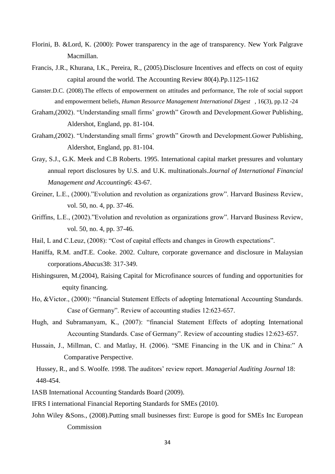- Florini, B. &Lord, K. (2000): Power transparency in the age of transparency. New York Palgrave Macmillan.
- Francis, J.R., Khurana, I.K., Pereira, R., (2005).Disclosure Incentives and effects on cost of equity capital around the world. The Accounting Review 80(4).Pp.1125-1162
- Ganster.D.C. (2008).The effects of empowerment on attitudes and performance, The role of social support and empowerment beliefs, *Human Resource Management International Digest* , 16(3), pp.12 -24
- Graham,(2002). "Understanding small firms' growth" Growth and Development.Gower Publishing, Aldershot, England, pp. 81-104.
- Graham,(2002). "Understanding small firms' growth" Growth and Development.Gower Publishing, Aldershot, England, pp. 81-104.
- Gray, S.J., G.K. Meek and C.B Roberts. 1995. International capital market pressures and voluntary annual report disclosures by U.S. and U.K. multinationals.*Journal of International Financial Management and Accounting*6: 43-67.
- Greiner, L.E., (2000)."Evolution and revolution as organizations grow". Harvard Business Review, vol. 50, no. 4, pp. 37-46.
- Griffins, L.E., (2002)."Evolution and revolution as organizations grow". Harvard Business Review, vol. 50, no. 4, pp. 37-46.
- Hail, L and C.Leuz, (2008): "Cost of capital effects and changes in Growth expectations".
- Haniffa, R.M. andT.E. Cooke. 2002. Culture, corporate governance and disclosure in Malaysian corporations.*Abacus*38: 317-349.
- Hishingsuren, M.(2004), Raising Capital for Microfinance sources of funding and opportunities for equity financing.
- Ho, &Victor., (2000): "financial Statement Effects of adopting International Accounting Standards. Case of Germany". Review of accounting studies 12:623-657.
- Hugh, and Subramanyam, K., (2007): "financial Statement Effects of adopting International Accounting Standards. Case of Germany". Review of accounting studies 12:623-657.
- Hussain, J., Millman, C. and Matlay, H. (2006). "SME Financing in the UK and in China:" A Comparative Perspective.

Hussey, R., and S. Woolfe. 1998. The auditors' review report. *Managerial Auditing Journal* 18: 448-454.

- IASB International Accounting Standards Board (2009).
- IFRS I international Financial Reporting Standards for SMEs (2010).
- John Wiley &Sons., (2008).Putting small businesses first: Europe is good for SMEs Inc European Commission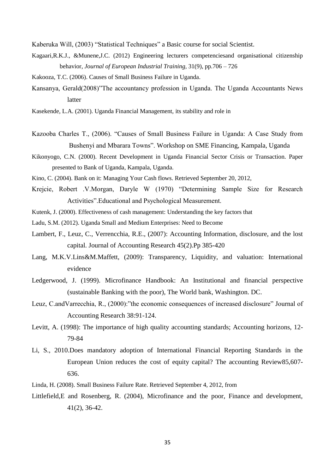Kaberuka Will, (2003) "Statistical Techniques" a Basic course for social Scientist.

- Kagaari,R.K.J., &Munene,J.C. (2012) Engineering lecturers competenciesand organisational citizenship behavior, *Journal of European Industrial Training,* 31(9), pp.706 – 726
- Kakooza, T.C. (2006). Causes of Small Business Failure in Uganda.
- Kansanya, Gerald(2008)"The accountancy profession in Uganda. The Uganda Accountants News latter

Kasekende, L.A. (2001). Uganda Financial Management, its stability and role in

- Kazooba Charles T., (2006). "Causes of Small Business Failure in Uganda: A Case Study from Bushenyi and Mbarara Towns". Workshop on SME Financing, Kampala, Uganda
- Kikonyogo, C.N. (2000). Recent Development in Uganda Financial Sector Crisis or Transaction. Paper presented to Bank of Uganda, Kampala, Uganda.
- Kino, C. (2004). Bank on it: Managing Your Cash flows. Retrieved September 20, 2012,
- Krejcie, Robert .V.Morgan, Daryle W (1970) "Determining Sample Size for Research Activities".Educational and Psychological Measurement.
- Kutenk, J. (2000). Effectiveness of cash management: Understanding the key factors that
- Ladu, S.M. (2012). Uganda Small and Medium Enterprises: Need to Become
- Lambert, F., Leuz, C., Verrencchia, R.E., (2007): Accounting Information, disclosure, and the lost capital. Journal of Accounting Research 45(2).Pp 385-420
- Lang, M.K.V.Lins&M.Maffett, (2009): Transparency, Liquidity, and valuation: International evidence
- Ledgerwood, J. (1999). Microfinance Handbook: An Institutional and financial perspective (sustainable Banking with the poor), The World bank, Washington. DC.
- Leuz, C.andVarrecchia, R., (2000):"the economic consequences of increased disclosure" Journal of Accounting Research 38:91-124.
- Levitt, A. (1998): The importance of high quality accounting standards; Accounting horizons, 12- 79-84
- Li, S., 2010.Does mandatory adoption of International Financial Reporting Standards in the European Union reduces the cost of equity capital? The accounting Review85,607- 636.
- Linda, H. (2008). Small Business Failure Rate. Retrieved September 4, 2012, from
- Littlefield,E and Rosenberg, R. (2004), Microfinance and the poor, Finance and development, 41(2), 36-42.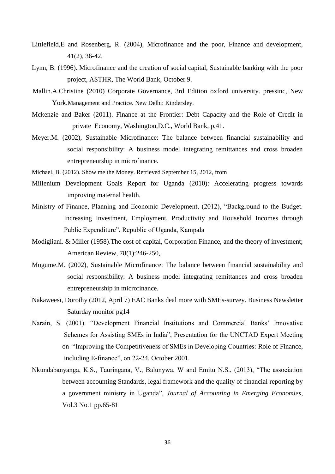- Littlefield,E and Rosenberg, R. (2004), Microfinance and the poor, Finance and development, 41(2), 36-42.
- Lynn, B. (1996). Microfinance and the creation of social capital, Sustainable banking with the poor project, ASTHR, The World Bank, October 9.
- Mallin.A.Christine (2010) Corporate Governance, 3rd Edition oxford university. pressinc, New York.Management and Practice. New Delhi: Kindersley.
- Mckenzie and Baker (2011). Finance at the Frontier: Debt Capacity and the Role of Credit in private Economy, Washington,D.C., World Bank, p.41.
- Meyer.M. (2002), Sustainable Microfinance: The balance between financial sustainability and social responsibility: A business model integrating remittances and cross broaden entrepreneurship in microfinance.
- Michael, B. (2012). Show me the Money. Retrieved September 15, 2012, from
- Millenium Development Goals Report for Uganda (2010): Accelerating progress towards improving maternal health.
- Ministry of Finance, Planning and Economic Development, (2012), "Background to the Budget. Increasing Investment, Employment, Productivity and Household Incomes through Public Expenditure". Republic of Uganda, Kampala
- Modigliani. & Miller (1958).The cost of capital, Corporation Finance, and the theory of investment; American Review, 78(1):246-250,
- Mugume.M. (2002), Sustainable Microfinance: The balance between financial sustainability and social responsibility: A business model integrating remittances and cross broaden entrepreneurship in microfinance.
- Nakaweesi, Dorothy (2012, April 7) EAC Banks deal more with SMEs-survey. Business Newsletter Saturday monitor pg14
- Narain, S. (2001). "Development Financial Institutions and Commercial Banks' Innovative Schemes for Assisting SMEs in India", Presentation for the UNCTAD Expert Meeting on "Improving the Competitiveness of SMEs in Developing Countries: Role of Finance, including E-finance", on 22-24, October 2001.
- Nkundabanyanga, K.S., Tauringana, V., Balunywa, W and Emitu N.S., (2013), "The association between accounting Standards, legal framework and the quality of financial reporting by a government ministry in Uganda", *Journal of Accounting in Emerging Economies*, Vol.3 No.1 pp.65-81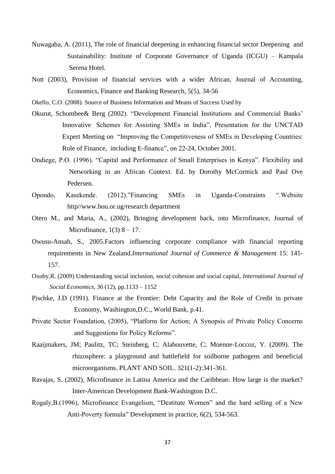- Nuwagaba, A. (2011), The role of financial deepening in enhancing financial sector Deepening and Sustainability: Institute of Corporate Governance of Uganda (ICGU) – Kampala Serena Hotel.
- Nott (2003), Provision of financial services with a wider African, Journal of Accounting, Economics, Finance and Banking Research, 5(5), 34-56

Okello, C.O. (2008). Source of Business Information and Means of Success Used by

- Okurut, Schombee& Berg (2002). "Development Financial Institutions and Commercial Banks' Innovative Schemes for Assisting SMEs in India", Presentation for the UNCTAD Expert Meeting on "Improving the Competitiveness of SMEs in Developing Countries: Role of Finance, including E-finance", on 22-24, October 2001.
- Ondiege, P.O. (1996). "Capital and Performance of Small Enterprises in Kenya". Flexibility and Networking in an African Context. Ed. by Dorothy McCormick and Paul Ove Pedersen.
- Opondo, Kasekende. (2012)."Financing SMEs in Uganda-Constraints ".Website http//www.bou.or.ug/research department
- Otero M., and Maria, A., (2002), Bringing development back, into Microfinance, Journal of Microfinance,  $1(3)$  8 – 17.
- Owusu-Ansah, S., 2005.Factors influencing corporate compliance with financial reporting requirements in New Zealand.*International Journal of Commerce & Management* 15: 141- 157.
- Oxoby,R. (2009) Understanding social inclusion, social cohesion and social capital, *International Journal of Social Economics*, 36 (12), pp.1133 – 1152
- Pischke, J.D (1991). Finance at the Frontier: Debt Capacity and the Role of Credit in private Economy, Washington,D.C., World Bank, p.41.
- Private Sector Foundation, (2005), "Platform for Action; A Synopsis of Private Policy Concerns and Suggestions for Policy Reforms".
- Raaijmakers, JM; Paulitz, TC; Steinberg, C; Alabouvette, C; Moenne-Loccoz, Y. (2009). The rhizosphere: a playground and battlefield for soilborne pathogens and beneficial microorganisms. PLANT AND SOIL. 321(1-2):341-361.
- Ravajas, S. (2002), Microfinance in Latina America and the Caribbean: How large is the market? Inter-American Development Bank-Washington D.C.
- Rogaly,B.(1996), Microfinance Evangelism, "Destitute Women" and the hard selling of a New Anti-Poverty formula" Development in practice, 6(2), 534-563.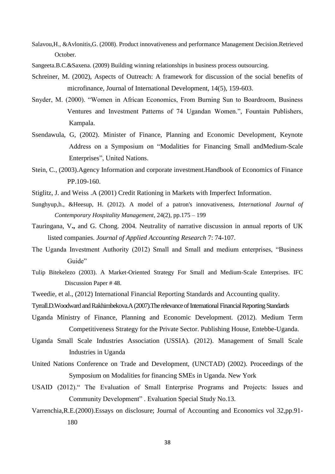- Salavou,H., &Avlonitis,G. (2008). Product innovativeness and performance Management Decision.Retrieved October.
- Sangeeta.B.C.&Saxena. (2009) Building winning relationships in business process outsourcing.
- Schreiner, M. (2002), Aspects of Outreach: A framework for discussion of the social benefits of microfinance, Journal of International Development, 14(5), 159-603.
- Snyder, M. (2000). "Women in African Economics, From Burning Sun to Boardroom, Business Ventures and Investment Patterns of 74 Ugandan Women.", Fountain Publishers, Kampala.
- Ssendawula, G, (2002). Minister of Finance, Planning and Economic Development, Keynote Address on a Symposium on "Modalities for Financing Small andMedium-Scale Enterprises", United Nations.
- Stein, C., (2003).Agency Information and corporate investment.Handbook of Economics of Finance PP.109-160.
- Stiglitz, J. and Weiss .A (2001) Credit Rationing in Markets with Imperfect Information.
- Sunghyup,h., &Heesup, H. (2012). A model of a patron's innovativeness, *International Journal of Contemporary Hospitality Management*, 24(2), pp.175 – 199
- Tauringana, V**.,** and G. Chong. 2004. Neutrality of narrative discussion in annual reports of UK listed companies. *Journal of Applied Accounting Research* 7: 74-107.
- The Uganda Investment Authority (2012) Small and Small and medium enterprises, "Business Guide"
- Tulip Bitekelezo (2003). A Market-Oriented Strategy For Small and Medium-Scale Enterprises. IFC Discussion Paper # 48.
- Tweedie, et al., (2012) International Financial Reporting Standards and Accounting quality.
- Tyrrall.D.Woodward and Rakhimbekova.A (2007).The relevance of International Financial Reporting Standards
- Uganda Ministry of Finance, Planning and Economic Development. (2012). Medium Term Competitiveness Strategy for the Private Sector. Publishing House, Entebbe-Uganda.
- Uganda Small Scale Industries Association (USSIA). (2012). Management of Small Scale Industries in Uganda
- United Nations Conference on Trade and Development, (UNCTAD) (2002). Proceedings of the Symposium on Modalities for financing SMEs in Uganda. New York
- USAID (2012)." The Evaluation of Small Enterprise Programs and Projects: Issues and Community Development" . Evaluation Special Study No.13.
- Varrenchia,R.E.(2000).Essays on disclosure; Journal of Accounting and Economics vol 32,pp.91- 180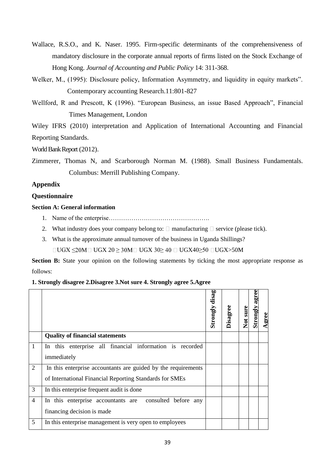- Wallace, R.S.O., and K. Naser. 1995. Firm-specific determinants of the comprehensiveness of mandatory disclosure in the corporate annual reports of firms listed on the Stock Exchange of Hong Kong. *Journal of Accounting and Public Policy* 14: 311-368.
- Welker, M., (1995): Disclosure policy, Information Asymmetry, and liquidity in equity markets". Contemporary accounting Research.11:801-827
- Wellford, R and Prescott, K (1996). "European Business, an issue Based Approach", Financial Times Management, London

Wiley IFRS (2010) interpretation and Application of International Accounting and Financial Reporting Standards.

World Bank Report (2012).

Zimmerer, Thomas N, and Scarborough Norman M. (1988). Small Business Fundamentals. Columbus: Merrill Publishing Company.

# **Appendix**

# **Questionnaire**

# **Section A: General information**

- 1. Name of the enterprise………………………………………….
- 2. What industry does your company belong to:  $\Box$  manufacturing  $\Box$  service (please tick).
- 3. What is the approximate annual turnover of the business in Uganda Shillings?

 $\Box$ UGX  $\leq$ 20M $\Box$  UGX 20  $\geq$ 30M $\Box$  UGX 30 $\geq$  40  $\Box$  UGX40 $\geq$ 50  $\Box$ UGX $>$ 50M

**Section B:** State your opinion on the following statements by ticking the most appropriate response as follows:

# **1. Strongly disagree 2.Disagree 3.Not sure 4. Strongly agree 5.Agree Strongly disagree**

|                |                                                               | disag<br>Strongly | Disagree | Not sure | agree<br>Strongly | Agree |
|----------------|---------------------------------------------------------------|-------------------|----------|----------|-------------------|-------|
|                | <b>Quality of financial statements</b>                        |                   |          |          |                   |       |
| 1              | In this enterprise all financial information is recorded      |                   |          |          |                   |       |
|                | immediately                                                   |                   |          |          |                   |       |
| $\overline{2}$ | In this enterprise accountants are guided by the requirements |                   |          |          |                   |       |
|                | of International Financial Reporting Standards for SMEs       |                   |          |          |                   |       |
| 3              | In this enterprise frequent audit is done                     |                   |          |          |                   |       |
| $\overline{4}$ | In this enterprise accountants are consulted before any       |                   |          |          |                   |       |
|                | financing decision is made                                    |                   |          |          |                   |       |
| 5              | In this enterprise management is very open to employees       |                   |          |          |                   |       |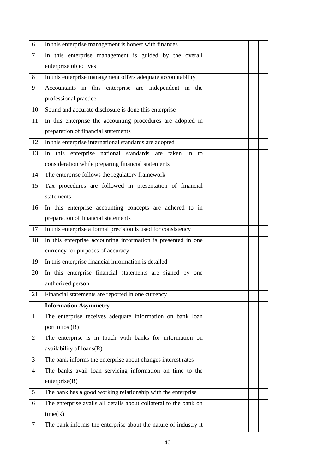| 6              | In this enterprise management is honest with finances             |  |  |  |
|----------------|-------------------------------------------------------------------|--|--|--|
| $\tau$         | In this enterprise management is guided by the overall            |  |  |  |
|                | enterprise objectives                                             |  |  |  |
| 8              | In this enterprise management offers adequate accountability      |  |  |  |
| 9              | Accountants in this enterprise are independent in the             |  |  |  |
|                | professional practice                                             |  |  |  |
| 10             | Sound and accurate disclosure is done this enterprise             |  |  |  |
| 11             | In this enterprise the accounting procedures are adopted in       |  |  |  |
|                | preparation of financial statements                               |  |  |  |
| 12             | In this enterprise international standards are adopted            |  |  |  |
| 13             | In this enterprise national standards are taken in to             |  |  |  |
|                | consideration while preparing financial statements                |  |  |  |
| 14             | The enterprise follows the regulatory framework                   |  |  |  |
| 15             | Tax procedures are followed in presentation of financial          |  |  |  |
|                | statements.                                                       |  |  |  |
| 16             | In this enterprise accounting concepts are adhered to in          |  |  |  |
|                | preparation of financial statements                               |  |  |  |
| 17             | In this enterprise a formal precision is used for consistency     |  |  |  |
| 18             | In this enterprise accounting information is presented in one     |  |  |  |
|                | currency for purposes of accuracy                                 |  |  |  |
| 19             | In this enterprise financial information is detailed              |  |  |  |
| 20             | In this enterprise financial statements are signed by one         |  |  |  |
|                | authorized person                                                 |  |  |  |
| 21             | Financial statements are reported in one currency                 |  |  |  |
|                | <b>Information Asymmetry</b>                                      |  |  |  |
| $\mathbf{1}$   | The enterprise receives adequate information on bank loan         |  |  |  |
|                | portfolios $(R)$                                                  |  |  |  |
| $\overline{2}$ | The enterprise is in touch with banks for information on          |  |  |  |
|                | availability of loans(R)                                          |  |  |  |
| 3              | The bank informs the enterprise about changes interest rates      |  |  |  |
| 4              | The banks avail loan servicing information on time to the         |  |  |  |
|                | enterprise(R)                                                     |  |  |  |
| 5              | The bank has a good working relationship with the enterprise      |  |  |  |
| 6              | The enterprise avails all details about collateral to the bank on |  |  |  |
|                | time(R)                                                           |  |  |  |
| 7              | The bank informs the enterprise about the nature of industry it   |  |  |  |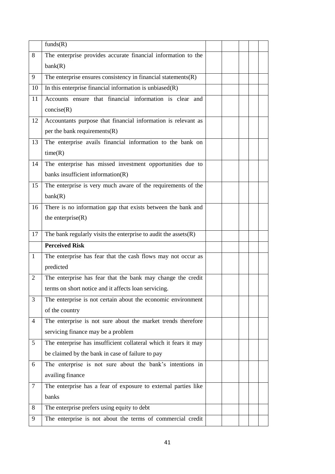|                | funds(R)                                                           |  |  |  |
|----------------|--------------------------------------------------------------------|--|--|--|
| 8              | The enterprise provides accurate financial information to the      |  |  |  |
|                | bank(R)                                                            |  |  |  |
| 9              | The enterprise ensures consistency in financial statements $(R)$   |  |  |  |
| 10             | In this enterprise financial information is unbiased $(R)$         |  |  |  |
| 11             | Accounts ensure that financial information is clear and            |  |  |  |
|                | concise(R)                                                         |  |  |  |
| 12             | Accountants purpose that financial information is relevant as      |  |  |  |
|                | per the bank requirements $(R)$                                    |  |  |  |
| 13             | The enterprise avails financial information to the bank on         |  |  |  |
|                | time(R)                                                            |  |  |  |
| 14             | The enterprise has missed investment opportunities due to          |  |  |  |
|                | banks insufficient information(R)                                  |  |  |  |
| 15             | The enterprise is very much aware of the requirements of the       |  |  |  |
|                | bank(R)                                                            |  |  |  |
| 16             | There is no information gap that exists between the bank and       |  |  |  |
|                | the enterprise $(R)$                                               |  |  |  |
| 17             | The bank regularly visits the enterprise to audit the assets $(R)$ |  |  |  |
|                | <b>Perceived Risk</b>                                              |  |  |  |
| $\mathbf{1}$   | The enterprise has fear that the cash flows may not occur as       |  |  |  |
|                | predicted                                                          |  |  |  |
| 2              | The enterprise has fear that the bank may change the credit        |  |  |  |
|                | terms on short notice and it affects loan servicing.               |  |  |  |
| $\mathfrak{Z}$ | The enterprise is not certain about the economic environment       |  |  |  |
|                | of the country                                                     |  |  |  |
| $\overline{4}$ | The enterprise is not sure about the market trends therefore       |  |  |  |
|                | servicing finance may be a problem                                 |  |  |  |
| 5              | The enterprise has insufficient collateral which it fears it may   |  |  |  |
|                | be claimed by the bank in case of failure to pay                   |  |  |  |
| 6              | The enterprise is not sure about the bank's intentions in          |  |  |  |
|                | availing finance                                                   |  |  |  |
| $\tau$         | The enterprise has a fear of exposure to external parties like     |  |  |  |
|                | banks                                                              |  |  |  |
| 8              | The enterprise prefers using equity to debt                        |  |  |  |
| 9              | The enterprise is not about the terms of commercial credit         |  |  |  |
|                |                                                                    |  |  |  |